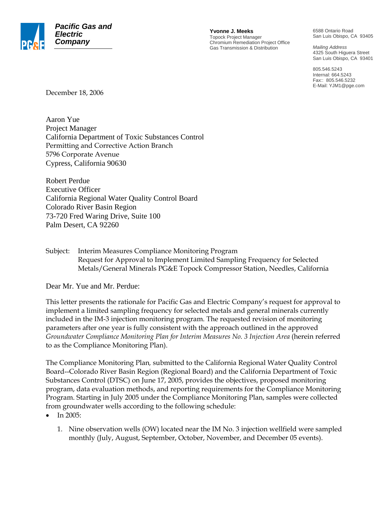

**Yvonne J. Meeks** Topock Project Manager Chromium Remediation Project Office Gas Transmission & Distribution

6588 Ontario Road San Luis Obispo, CA 93405

*Mailing Address*  4325 South Higuera Street San Luis Obispo, CA 93401

805.546.5243 Internal: 664.5243 Fax:: 805.546.5232 E-Mail: YJM1@pge.com

December 18, 2006

Aaron Yue Project Manager California Department of Toxic Substances Control Permitting and Corrective Action Branch 5796 Corporate Avenue Cypress, California 90630

Robert Perdue Executive Officer California Regional Water Quality Control Board Colorado River Basin Region 73-720 Fred Waring Drive, Suite 100 Palm Desert, CA 92260

Subject: Interim Measures Compliance Monitoring Program Request for Approval to Implement Limited Sampling Frequency for Selected Metals/General Minerals PG&E Topock Compressor Station, Needles, California

Dear Mr. Yue and Mr. Perdue:

This letter presents the rationale for Pacific Gas and Electric Company's request for approval to implement a limited sampling frequency for selected metals and general minerals currently included in the IM-3 injection monitoring program. The requested revision of monitoring parameters after one year is fully consistent with the approach outlined in the approved *Groundwater Compliance Monitoring Plan for Interim Measures No. 3 Injection Area* (herein referred to as the Compliance Monitoring Plan).

The Compliance Monitoring Plan*,* submitted to the California Regional Water Quality Control Board--Colorado River Basin Region (Regional Board) and the California Department of Toxic Substances Control (DTSC) on June 17, 2005, provides the objectives, proposed monitoring program, data evaluation methods, and reporting requirements for the Compliance Monitoring Program. Starting in July 2005 under the Compliance Monitoring Plan, samples were collected from groundwater wells according to the following schedule:

- In 2005:
	- 1. Nine observation wells (OW) located near the IM No. 3 injection wellfield were sampled monthly (July, August, September, October, November, and December 05 events).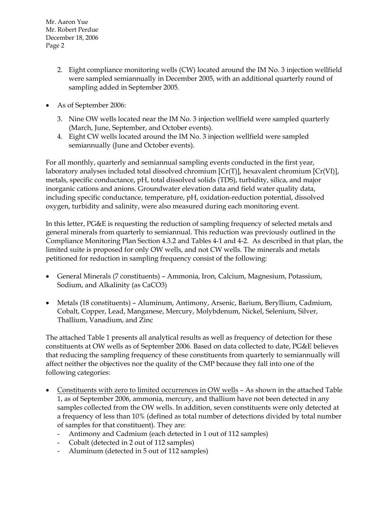Mr. Aaron Yue Mr. Robert Perdue December 18, 2006 Page 2

- 2. Eight compliance monitoring wells (CW) located around the IM No. 3 injection wellfield were sampled semiannually in December 2005, with an additional quarterly round of sampling added in September 2005.
- As of September 2006:
	- 3. Nine OW wells located near the IM No. 3 injection wellfield were sampled quarterly (March, June, September, and October events).
	- 4. Eight CW wells located around the IM No. 3 injection wellfield were sampled semiannually (June and October events).

For all monthly, quarterly and semiannual sampling events conducted in the first year, laboratory analyses included total dissolved chromium [Cr(T)], hexavalent chromium [Cr(VI)], metals, specific conductance, pH, total dissolved solids (TDS), turbidity, silica, and major inorganic cations and anions. Groundwater elevation data and field water quality data, including specific conductance, temperature, pH, oxidation-reduction potential, dissolved oxygen, turbidity and salinity, were also measured during each monitoring event.

In this letter, PG&E is requesting the reduction of sampling frequency of selected metals and general minerals from quarterly to semiannual. This reduction was previously outlined in the Compliance Monitoring Plan Section 4.3.2 and Tables 4-1 and 4-2. As described in that plan, the limited suite is proposed for only OW wells, and not CW wells. The minerals and metals petitioned for reduction in sampling frequency consist of the following:

- General Minerals (7 constituents) Ammonia, Iron, Calcium, Magnesium, Potassium, Sodium, and Alkalinity (as CaCO3)
- Metals (18 constituents) Aluminum, Antimony, Arsenic, Barium, Beryllium, Cadmium, Cobalt, Copper, Lead, Manganese, Mercury, Molybdenum, Nickel, Selenium, Silver, Thallium, Vanadium, and Zinc

The attached Table 1 presents all analytical results as well as frequency of detection for these constituents at OW wells as of September 2006. Based on data collected to date, PG&E believes that reducing the sampling frequency of these constituents from quarterly to semiannually will affect neither the objectives nor the quality of the CMP because they fall into one of the following categories:

- Constituents with zero to limited occurrences in OW wells As shown in the attached Table 1, as of September 2006, ammonia, mercury, and thallium have not been detected in any samples collected from the OW wells. In addition, seven constituents were only detected at a frequency of less than 10% (defined as total number of detections divided by total number of samples for that constituent). They are:
	- Antimony and Cadmium (each detected in 1 out of 112 samples)
	- Cobalt (detected in 2 out of 112 samples)
	- Aluminum (detected in 5 out of 112 samples)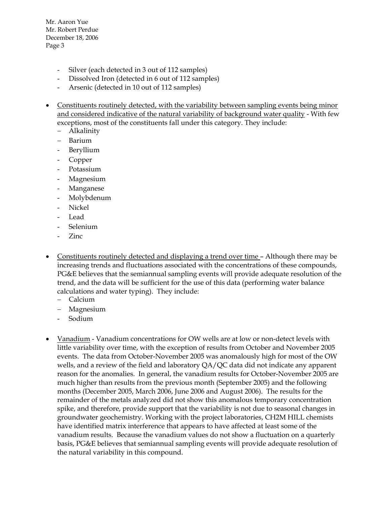Mr. Aaron Yue Mr. Robert Perdue December 18, 2006 Page 3

- Silver (each detected in 3 out of 112 samples)
- Dissolved Iron (detected in 6 out of 112 samples)
- Arsenic (detected in 10 out of 112 samples)
- Constituents routinely detected, with the variability between sampling events being minor and considered indicative of the natural variability of background water quality - With few exceptions, most of the constituents fall under this category. They include:
	- − Alkalinity
	- − Barium
	- **Beryllium**
	- Copper
	- Potassium
	- **Magnesium**
	- Manganese
	- Molybdenum
	- Nickel
	- **Lead**
	- Selenium
	- Zinc
- Constituents routinely detected and displaying a trend over time Although there may be increasing trends and fluctuations associated with the concentrations of these compounds, PG&E believes that the semiannual sampling events will provide adequate resolution of the trend, and the data will be sufficient for the use of this data (performing water balance calculations and water typing). They include:
	- − Calcium
	- − Magnesium
	- Sodium
- Vanadium Vanadium concentrations for OW wells are at low or non-detect levels with little variability over time, with the exception of results from October and November 2005 events. The data from October-November 2005 was anomalously high for most of the OW wells, and a review of the field and laboratory  $QA/QC$  data did not indicate any apparent reason for the anomalies. In general, the vanadium results for October-November 2005 are much higher than results from the previous month (September 2005) and the following months (December 2005, March 2006, June 2006 and August 2006). The results for the remainder of the metals analyzed did not show this anomalous temporary concentration spike, and therefore, provide support that the variability is not due to seasonal changes in groundwater geochemistry. Working with the project laboratories, CH2M HILL chemists have identified matrix interference that appears to have affected at least some of the vanadium results. Because the vanadium values do not show a fluctuation on a quarterly basis, PG&E believes that semiannual sampling events will provide adequate resolution of the natural variability in this compound.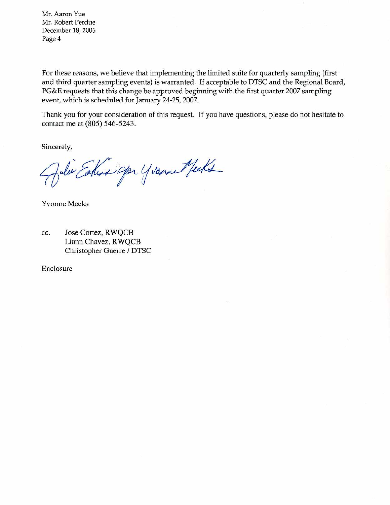Mr. Aaron Yue Mr. Robert Perdue December 18, 2006 Page 4

For these reasons, we believe that implementing the limited suite for quarterly sampling (first and third quarter sampling events) is warranted. If acceptable to DTSC and the Regional Board, PG&E requests that this change be approved beginning with the first quarter 2007 sampling event, which is scheduled for January 24-25, 2007.

Thank you for your consideration of this request. If you have questions, please do not hesitate to contact me at (805) 546-5243.

Sincerely,

Julie Esteva Jor Yvorne Mecks

**Yvonne Meeks** 

Jose Cortez, RWQCB cc. Liann Chavez, RWQCB Christopher Guerre / DTSC

Enclosure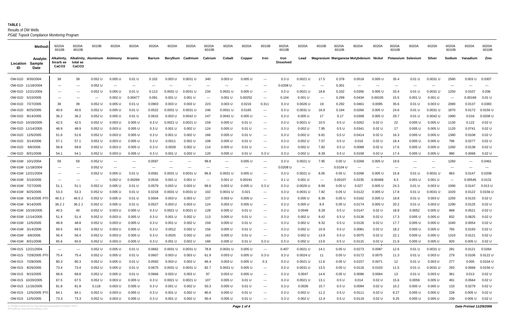**TABLE 1** *PG&E Topock Compliance Monitoring Program* Results of OW Wells

|                                       | Method:                           | 6020A<br>6010B                                | 6020A<br>6010B                | 6010B                                    | 6020A                                               | 6020A                              | 6020A            | 6020A                 | 6020A                  | 6020A<br>6010B | 6020A                   | 6020A                  | 6010B                                                                            | 6020A<br>6010B           | 6020A                                  | 6010B                    | 6020A<br>6010B                        | 6020A                                            | 6020A              | 6020A<br>6010B     | 6020A                                                         | 6020A                 | 6020A<br>6010B | 6020A            | 6020A<br>6010B       |
|---------------------------------------|-----------------------------------|-----------------------------------------------|-------------------------------|------------------------------------------|-----------------------------------------------------|------------------------------------|------------------|-----------------------|------------------------|----------------|-------------------------|------------------------|----------------------------------------------------------------------------------|--------------------------|----------------------------------------|--------------------------|---------------------------------------|--------------------------------------------------|--------------------|--------------------|---------------------------------------------------------------|-----------------------|----------------|------------------|----------------------|
| Location<br>ID                        | Analvte:<br>Sample<br><b>Date</b> | Alkalinity.<br>bicarb as<br>CaCO <sub>3</sub> | total as<br>CaCO <sub>3</sub> | Alkalinity, Aluminum Antimony            |                                                     | Arsenic                            | Barium           |                       | Beryllium Cadmium      | Calcium        | Cobalt                  | Copper                 | Iron                                                                             | Iron<br><b>Dissolved</b> | Lead                                   |                          | Magnesium Manganese Molybdenum Nickel |                                                  |                    | Potassium Selenium |                                                               | Silver                | Sodium         | Vanadium         | Zinc                 |
|                                       |                                   |                                               |                               |                                          |                                                     |                                    |                  |                       |                        |                |                         |                        |                                                                                  |                          |                                        |                          |                                       |                                                  |                    |                    |                                                               |                       |                |                  |                      |
| OW-01D 9/30/2004<br>OW-01D 11/18/2004 |                                   | 39<br>$\cdots$                                | 39<br>$---$                   | 0.052 U<br>$0.052$ U                     | 0.005 U<br>$\hspace{0.05cm} \ldots \hspace{0.05cm}$ | 0.01 U<br>$\overline{\phantom{a}}$ | 0.102<br>$---$   | 0.003 U               | 0.0031 U<br>$---$      | 340            | $0.003$ U<br>$--$       | $0.005$ U<br>$--$      | $\hspace{0.1em} \ldots \hspace{0.1em}$<br>$\hspace{0.1em} \ldots \hspace{0.1em}$ | 0.3 U<br>0.0208L         | $0.0021$ U<br>$\hspace{0.05cm} \ldots$ | 17.5<br>$---$            | 0.378<br>0.301                        | 0.0518<br>$\hspace{0.1em} \ldots \hspace{0.1em}$ | $0.005$ U<br>$---$ | 35.4<br>$---$      | 0.01 U<br>$\sim$ $\sim$ $\sim$                                | 0.0031 U<br>---       | 2580<br>$---$  | 0.003 U<br>$---$ | 0.0307<br>$---$      |
| OW-01D 12/21/2004                     |                                   | $\qquad \qquad -$                             | $---$                         | 0.052 U                                  | 0.005 U                                             | 0.01 U                             | 0.113            | 0.0031 U              | 0.0031 U               | $- - -$<br>234 | 0.0031 U                | 0.005 U                | $   \,$                                                                          | 0.3 U                    | $0.0021$ U                             | 18.8                     | 0.332                                 | 0.0356                                           | $0.005$ U          | 33.4               | 0.01 U                                                        | 0.0031 U              | 1250           | 0.0107           | 0.036                |
| OW-01D 5/10/2005                      |                                   | $\qquad \qquad -$                             | $---$                         | $\hspace{0.05cm} \ldots \hspace{0.05cm}$ | $0.002$ U                                           | 0.00477                            | 0.091            | 0.001 U               | 0.001 U                | $---$          | 0.001 U                 | 0.00252                | $   \,$                                                                          | 0.104                    | 0.001 U                                | $\hspace{0.05cm} \ldots$ | 0.299                                 | 0.0434                                           | 0.00105            | 15.5               | 0.001 U                                                       | 0.001 U               | $---$          | 0.00169          | 0.01 U               |
| OW-01D 7/27/2005                      |                                   | 39                                            | 39                            | 0.052 U                                  | 0.005 U                                             | 0.01 U                             | 0.0903           | 0.003 U               | 0.003 U                | 223            | 0.003 U                 | 0.0216                 | 0.31'                                                                            | 0.3 U                    | 0.0026 U                               | 19                       | 0.292                                 | 0.0461                                           | 0.0095             | 35.6               | 0.01 U                                                        | 0.003 U               | 2080           | 0.0137           | 0.0383               |
| OW-01D 8/25/2005                      |                                   | 40.6                                          | 40.6                          | $0.052$ U                                | $0.005$ U                                           | 0.01 U                             | 0.0522           | 0.0031 U              | 0.0031 U               | 246            | 0.0031 U                | 0.0165                 | $\sim$ $\sim$                                                                    | 0.3 U                    | 0.0031 U                               | 16.9                     | 0.194                                 | 0.0266                                           | $0.005$ U          | 24.6               | 0.01 U                                                        | $0.0031$ U            | 1870           | 0.0172           | $0.0156$ U           |
| OW-01D 9/14/2005                      |                                   | 36.2                                          | 36.2                          | 0.052 U                                  | $0.005$ U                                           | 0.01 U                             | 0.0615           | 0.003 U               | $0.0042$ U             | 247            | 0.0042 U                | 0.005 U                | $\hspace{0.1em} \ldots \hspace{0.1em}$                                           | 0.3 U                    | $0.005$ U                              | 17                       | 0.17                                  | 0.0308                                           | $0.005$ U          | 29.7               | 0.01 U                                                        | $0.0042$ U            | 1990           | 0.016            | $0.0208$ U           |
| OW-01D 10/19/2005                     |                                   | 42.5                                          | 42.5                          | $0.052$ U                                | $0.003$ U                                           | $0.005$ U                          | 0.3 U            | 0.0021 U              | $0.0021$ U             | 159            | 0.005 U                 | 0.01 U                 | $\scriptstyle\cdots\scriptstyle\cdots$                                           | 0.3 U                    | 0.0021 U                               | 10.5                     | 0.5 U                                 | 0.0262                                           | 0.02 U             | 22                 | 0.005 U                                                       | $0.005$ U             | 1130           | 0.122            | 0.02 U               |
| OW-01D 11/14/2005                     |                                   | 48.9                                          | 48.9                          | 0.052 U                                  | $0.003$ U                                           | $0.005$ U                          | 0.3 U            | 0.001 U               | 0.002 U                | 124            | 0.005 U                 | 0.01 U                 | $\qquad \qquad -\qquad -$                                                        | 0.3 U                    | 0.002 U                                | 7.95                     | 0.5 U                                 | 0.0341                                           | 0.02 U             | 17                 | 0.005 U                                                       | 0.005 U               | 1120           | 0.0741           | 0.02 U               |
| OW-01D 12/5/2005                      |                                   | 51.6                                          | 51.6                          | $0.052$ U                                | $0.003$ U                                           | $0.005$ U                          | 0.3 U            | 0.001 U               | $0.002$ U              | 166            | 0.005 U                 | 0.01 U                 | $\scriptstyle\cdots\scriptstyle\cdots$                                           | 0.3 U                    | $0.002$ U                              | 6.81                     | 0.5 U                                 | 0.0414                                           | 0.02 U             | 16.3               | 0.005 U                                                       | $0.005$ U             | 1380           | 0.0108           | 0.02 U               |
| OW-01D 3/14/2006                      |                                   | 57.1                                          | 57.1                          | 0.052 U                                  | $0.003$ U                                           | $0.005$ U                          | 0.3 U            | 0.0011                | $0.002$ U              | 108            | 0.005 U                 | 0.01 U                 | $\qquad \qquad -\qquad -$                                                        | 0.3 U                    | 0.002 U                                | 7.57                     | 0.5 U                                 | 0.016                                            | 0.02 U             | 18.4               | 0.005 U                                                       | 0.005 U               | 796            | 0.0277           | 0.02 U               |
| OW-01D                                | 6/6/2006                          | 58.8                                          | 58.8                          | $0.052$ U                                | $0.003$ U                                           | $0.005$ U                          | 0.3 U            | 0.0028                | $0.002$ U              | 114            | 0.005 U                 | 0.01 U                 | $\scriptstyle\cdots\scriptstyle\cdots$                                           | 0.3 U                    | $0.002$ U                              | 7.82                     | 0.5 U                                 | 0.0088                                           | 0.02 U             | 17.6               | 0.005 U                                                       | $0.005$ U             | 1260           | 0.0138           | 0.02 U               |
| OW-01D 8/31/2006                      |                                   | 54.1                                          | 54.1                          | 0.052 U                                  | 0.003 U                                             | $0.005$ U                          | 0.3 U            | 0.001 U               | 0.002 U                | 120            | 0.005 U                 | 0.01 U                 | 0.3 U                                                                            | 0.3 U                    | 0.002 U                                | 8.39                     | 0.5 U                                 | 0.0158                                           | 0.02 U             | 17.4               | 0.005 U                                                       | 0.005 U               | 980            | 0.0068           | 0.02 U               |
| OW-01M 10/1/2004                      |                                   | 59                                            | 59                            | $0.052$ U                                | $\sim$ $\sim$                                       | $--$                               | 0.0597           | $\sim$ $\sim$         | $\qquad \qquad \cdots$ | 99.8           | $\sim$ $\sim$ $\sim$    | $0.005$ U              | $   \,$                                                                          | 0.3 U                    | $0.0021$ U                             | 7.95                     | 0.05U                                 | 0.0268                                           | $0.005$ U          | 19.9               | $---$                                                         | $\cdots$              | 1260           | $---$            | 0.0461               |
| OW-01M 11/18/2004                     |                                   | $\qquad \qquad - -$                           | $---$                         | $0.052$ U                                | $\cdots$                                            | $---$                              | $---$            | ---                   | ---                    | $--$           | $--$                    | $- - -$                | $\hspace{0.1em} \ldots \hspace{0.1em}$                                           | 0.0208L                  | $\hspace{0.05cm} \ldots$               | $\hspace{0.05cm} \ldots$ | 0.0104 U                              | $- - -$                                          | $---$              | $---$              | $\hspace{0.1em}-\hspace{0.1em}-\hspace{0.1em}-\hspace{0.1em}$ | $\cdots$              | $---$          | $---$            | $--$                 |
| OW-01M 12/21/2004                     |                                   | $\qquad \qquad -$                             | $---$                         | 0.052 U                                  | $0.005$ U                                           | 0.01 U                             | 0.0581           | 0.0031 U              | 0.0031 U               | 96.8           | 0.0031 U                | 0.005 U                | $\scriptstyle\cdots$                                                             | 0.3 U                    | $0.0021$ U                             | 8.05                     | 0.05 U                                | 0.0268                                           | $0.005$ U          | 15.8               | 0.01 U                                                        | 0.0031 U              | 863            | 0.0147           | 0.0209               |
| OW-01M                                | 5/10/2005                         | $\qquad \qquad -$                             | $\hspace{0.05cm} \ldots$      | $\sim$ $\sim$ $\sim$                     | $0.002$ U                                           | 0.00269                            | 0.0516           | 0.001 U               | 0.001 U                | ---            | 0.001 U                 | 0.00241                | $\sim$ $\sim$                                                                    | 0.1 U                    | $0.001$ U                              | $\scriptstyle\cdots$     | 0.00107                               | 0.0235                                           | 0.00468            | 9.3                | 0.001 U                                                       | 0.001 U               | $---$          | 0.00545          | 0.0131               |
| <b>OW-01M</b>                         | 7/27/2005                         | 51.1                                          | 51.1                          | 0.052 U                                  | 0.005 U                                             | 0.01 U                             | 0.0579           | 0.003 U               | $0.003$ U              | 98.6           | $0.003$ U               | 0.005 U                | 0.3 U                                                                            | 0.3 U                    | 0.0026 U                               | 8.99                     | 0.05 U                                | 0.027                                            | $0.005$ U          | 24.3               | 0.01 U                                                        | 0.003 U               | 1090           | 0.0147           | $0.013$ U            |
| OW-01M                                | 8/25/2005                         | 53.3                                          | 53.3                          | $0.052$ U                                | 0.005 U                                             | 0.01 U                             | 0.0218           | 0.0031 U              | $0.0031$ U             | 102            | 0.0031 U                | 0.021                  | $\sim$ $\sim$ $\sim$                                                             | 0.3 U                    | 0.0031 U                               | 7.82                     | 0.05U                                 | 0.0122                                           | $0.005$ U          | 17.8               | 0.01 U                                                        | 0.0031 U              | 1020           | 0.0122           | $0.0156$ U           |
| OW-01M                                | 9/14/2005 (FD                     | 46.5 J                                        | 46.5 J                        | 0.052 U                                  | 0.005 U                                             | 0.01 U                             | 0.0504           | 0.003 U               | $0.003$ U              | 137            | $0.003$ U               | 0.005 U                | $\sim$ $\sim$                                                                    | 0.3 U                    | $0.005$ U                              | 8.39                     | 0.05U                                 | 0.0162                                           | $0.005$ U          | 18.8               | 0.01 U                                                        | $0.003$ U             | 1250           | 0.0133           | 0.02 U               |
| OW-01M 9/14/2005                      |                                   | $36.2$ J                                      | 36.2J                         | $0.052$ U                                | $0.005$ U                                           | 0.01 U                             | 0.0527           | 0.003 U               | $0.003$ U              | 124            | $0.003$ U               | 0.005 U                | $\sim$ $\sim$                                                                    | 0.3 U                    | $0.005$ U                              | 8.9                      | 0.05U                                 | 0.0174                                           | $0.005$ U          | 20.2               | 0.01 U                                                        | $0.003$ U             | 1290           | 0.0125           | 0.02 U               |
| OW-01M 10/19/2005                     |                                   | 40.5                                          | 40                            | 0.052 U                                  | $0.003$ U                                           | $0.005$ U                          | 0.3 U            | 0.0021 U              | $0.0021$ U             | 128            | 0.005 U                 | 0.01 U                 | $- - -$                                                                          | 0.3 U                    | 0.0049                                 | 9.28                     | 0.5 U                                 | 0.0147                                           | 0.02 U             | 18.9               | 0.0052                                                        | 0.005 U               | 868            | 0.0521           | 0.02 U               |
| OW-01M 11/14/2005                     |                                   | 51.4                                          | 51.4                          | 0.052 U                                  | $0.003$ U                                           | $0.005$ U                          | 0.3 U            | 0.001 U               | $0.002$ U              | 113            | 0.005 U                 | 0.01 U                 | $\hspace{0.05cm} \ldots$                                                         | 0.3 U                    | 0.002L                                 | 9.42                     | 0.5 U                                 | 0.0136                                           | 0.02 U             | 17.3               | 0.005 U                                                       | $0.005$ U             | 832            | 0.0625           | 0.02 U               |
| OW-01M 12/5/2005                      |                                   | 48.8                                          | 48.8                          | 0.052 U                                  | 0.003 U                                             | 0.005 U                            | 0.3 U            | 0.001 U               | 0.002 U                | 159            | 0.005 U                 | 0.01 U                 | $\cdots$                                                                         | 0.3 U                    | 0.002 U                                | 9.32                     | 0.5 U                                 | 0.0126                                           | 0.02 U             | 17.7               | 0.005 U                                                       | 0.005 U               | 1040           | 0.0054           | 0.02 U               |
| OW-01M 3/14/2006                      |                                   | 69.5                                          | 69.5                          | $0.052$ U                                | $0.003$ U                                           | $0.005$ U                          | 0.3 U            | 0.0012                | $0.002$ U              | 156            | $0.005$ U               | 0.01 U                 | $\scriptstyle\cdots\scriptstyle\cdots$                                           | 0.3 U                    | $0.002$ U                              | 10.9                     | 0.5 U                                 | 0.0081                                           | 0.02 U             | 18.2               | 0.005 U                                                       | $0.005$ U             | 765            | 0.0193           | 0.02 U               |
| OW-01M 6/6/2006                       |                                   | 56.4                                          | 56.4                          | 0.052 U                                  | $0.003$ U                                           | $0.005$ U                          | 0.3 U            | 0.0025                | $0.002$ U              | 163            | 0.005 U                 | $0.01$ U               | $\sim$ $\sim$                                                                    | 0.3 U                    | 0.002 U                                | 13.9                     | 0.5 U                                 | 0.0075                                           | 0.02 U             | 22.1               | 0.005 U                                                       | 0.005 U               | 1310           | 0.0121           | 0.02 U               |
| OW-01M 8/31/2006                      |                                   | 65.6                                          | 65.6                          | $0.052$ U                                | $0.003$ U                                           | $0.005$ U                          | 0.3 U            | 0.001 U               | $0.002$ U              | 169            | 0.005 U                 | 0.01 U                 | 0.3 U                                                                            | 0.3 U                    | $0.002$ U                              | 13.9                     | 0.5 U                                 | 0.0115                                           | 0.02 U             | 21.8               | 0.005 U                                                       | $0.005$ U             | 920            | 0.005 U          | 0.02 U               |
| OW-01S 12/21/2004                     | OW-01S 7/28/2005 (FD)             | $\sim$ $\sim$                                 | $\frac{1}{2}$                 | $0.052$ U                                | $0.005$ U                                           | 0.01 U                             | 0.0662           | 0.0031 U              | 0.0031 U               | 78.8           | 0.0031 U                | $0.005$ U              | $\sim$ $\sim$ $\sim$                                                             | 0.407                    | 0.0021 U                               | 14.1                     | 0.05 U                                | 0.0273                                           | 0.0087             | 12.6               | 0.01 U                                                        | 0.0031 U              | 291            | 0.0121           | 0.0264               |
| OW-01S 7/28/2005                      |                                   | 75.4                                          | 75.4                          | 0.052 U                                  | 0.005 U<br>$0.005$ U                                | 0.01 U                             | 0.0607           | 0.003 U               | $0.003$ U              | 61.9           | 0.003 U                 | $0.005$ U<br>$0.005$ U | 0.3 U                                                                            | 0.3 U                    | $0.0024$ U                             | 11                       | 0.05 U                                | 0.0172                                           | 0.0075             | 11.3               | 0.01 U                                                        | $0.003$ U             | 279            | 0.0106           | 0.0122 U<br>0.0104 U |
| OW-01S 8/26/2005                      |                                   | 80.3<br>73.4                                  | 80.3<br>73.4                  | $0.052$ U<br>0.052 U                     | 0.005 U                                             | 0.01 U<br>0.01 U                   | 0.0592<br>0.0675 | $0.003$ U<br>0.0031 U | $0.003$ U<br>0.0031 U  | 66.4<br>82.7   | $0.003$ U<br>$0.0031$ U | 0.005 U                | 0.3<br>$\sim$ $\sim$ $\sim$                                                      | 0.3 U<br>0.3 U           | $0.0021$ U<br>$0.0031$ U               | 11.6<br>13.5             | 0.05 U<br>0.05 U                      | 0.0157<br>0.0116                                 | 0.0071<br>0.0103   | 12<br>11.5         | 0.01 U<br>0.01 U                                              | $0.003$ U<br>0.0031 U | 277<br>293     | 0.005<br>0.0068  | 0.0156 U             |
| OW-01S 9/15/2005                      |                                   | 68.8                                          | 68.8                          | $0.052$ U                                | $0.005$ U                                           | 0.01 U                             | 0.0666           | $0.003$ U             | $0.003$ U              | 97             | 0.003 U                 | $0.005$ U              | $\hspace{0.05cm} \ldots$                                                         | 0.3 U                    | 0.0047                                 | 14.6                     | 0.05 U                                | 0.0096                                           | 0.0064             | 13                 | 0.01 U                                                        | $0.003$ U             | 361            | 0.013            | 0.02 U               |
| OW-01S 10/20/2005                     |                                   | 67.5                                          | 67.5                          | 0.052 U                                  | 0.003 U                                             | $0.005$ U                          | 0.3 U            | $0.0021$ U            | 0.0021 U               | 107            | 0.005 U                 | $0.01$ U               | $\qquad \qquad \cdots$                                                           | 0.3 U                    | $0.0021$ U                             | 13.1                     | 0.5 U                                 | 0.014                                            | 0.02 U             | 15.6               | 0.0059                                                        | 0.005 U               | 491            | 0.0564           | $0.02$ U             |
| OW-01S 11/16/2005                     |                                   | 81.8                                          | 81.8                          | 0.118                                    | $0.003$ U                                           | $0.005$ U                          | 0.3 U            | 0.001 U               | 0.002 U                | 50.3           | 0.005 U                 | 0.01 U                 | $\qquad \qquad - -$                                                              | 0.3 U                    | 0.0026                                 | 15.7                     | 0.5 U                                 | 0.0094                                           | 0.02 U             | 10.2               | $0.005$ U                                                     | $0.005$ U             | 133            | 0.0279           | 0.02 U               |
|                                       | OW-01S 12/5/2005 (FD)             | 84.1                                          | 84.1                          | 0.052 U                                  | 0.003 U                                             | $0.005$ U                          | 0.3 U            | 0.001 U               | $0.002$ U              | 80.6           | 0.005 U                 | 0.01 U                 | $\qquad \qquad \cdots$                                                           | 0.3 U                    | 0.002 U                                | 11.2                     | 0.5 U                                 | 0.0111                                           | 0.02 U             | 8.27               | 0.005 U                                                       | 0.005 U               | 228            | 0.005 U          | 0.02 U               |
| OW-01S 12/5/2005                      |                                   | 73.3                                          | 73.3                          | $0.052$ U                                | $0.003$ U                                           | 0.005 U                            | 0.3 U            | 0.001 U               | $0.002$ U              | 90.4           | $0.005$ U               | 0.01 U                 | $\scriptstyle\cdots$                                                             | 0.3 U                    | $0.002$ U                              | 12.4                     | 0.5 U                                 | 0.0119                                           | 0.02 U             | 9.25               | 0.005 U                                                       | $0.005$ U             | 239            |                  | $0.005 U$ $0.02 U$   |
|                                       |                                   |                                               |                               |                                          |                                                     |                                    |                  |                       |                        |                |                         |                        |                                                                                  |                          |                                        |                          |                                       |                                                  |                    |                    |                                                               |                       |                |                  |                      |

*G:\PacificGasElectricCo\TopockProgram\Database\Tuesdai\CMP\C Page 1 of 4 MP.mdb\rpt\_Detected Resultstkp\_cross Date Printed 11/29/2006*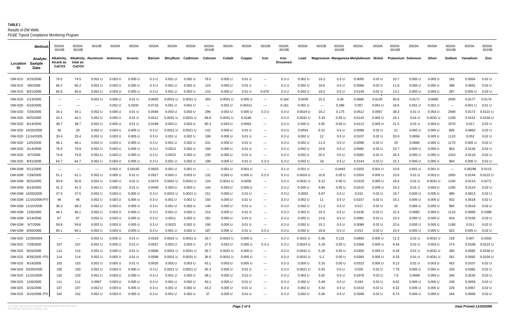**TABLE 1** *PG&E Topock Compliance Monitoring Program* Results of OW Wells

|                       | Method:                                         | 6020A<br>6010B                                | 6020A<br>6010B                | 6010B     | 6020A                         | 6020A     | 6020A  | 6020A      | 6020A              | 6020A<br>6010B                           | 6020A      | 6020A    | 6010B                                  | 6020A<br>6010B           | 6020A      | 6010B | 6020A<br>6010B   | 6020A                                 | 6020A    | 6020A<br>6010B     | 6020A     | 6020A      | 6020A<br>6010B | 6020A    | 6020A<br>6010B |
|-----------------------|-------------------------------------------------|-----------------------------------------------|-------------------------------|-----------|-------------------------------|-----------|--------|------------|--------------------|------------------------------------------|------------|----------|----------------------------------------|--------------------------|------------|-------|------------------|---------------------------------------|----------|--------------------|-----------|------------|----------------|----------|----------------|
| Location<br>ID        | <b>Analyte:</b><br><b>Sample</b><br><b>Date</b> | Alkalinity,<br>bicarb as<br>CaCO <sub>3</sub> | total as<br>CaCO <sub>3</sub> |           | Alkalinity, Aluminum Antimony | Arsenic   | Barium | Beryllium  | Cadmium            | Calcium                                  | Cobalt     | Copper   | <b>Iron</b>                            | Iron<br><b>Dissolved</b> | Lead       |       |                  | Magnesium Manganese Molybdenum Nickel |          | Potassium Selenium |           | Silver     | Sodium         | Vanadium | Zinc           |
| OW-01S 3/15/2006      |                                                 | 74.5                                          | 74.5                          | $0.052$ U | $0.003$ U                     | $0.005$ U | 0.3 U  | 0.001 U    | 0.002 U            | 79.5                                     | $0.005$ U  | 0.01 U   | $\hspace{0.1em} \ldots$                | 0.3 U                    | 0.002L     | 15.3  | 0.5 U            | 0.0055                                | 0.02 U   | 10.7               | 0.005L    | 0.005 U    | 181            | 0.0064   | 0.02 U         |
| OW-01S 6/6/2006       |                                                 | 66.2                                          | 66.2                          | $0.052$ U | $0.003$ U                     | 0.005 U   | 0.3 U  | 0.001 U    | 0.002 U            | 123                                      | 0.005 U    | 0.01 U   | $\sim$ $\sim$                          | 0.3 U                    | 0.002 U    | 16.6  | 0.5 U            | 0.0066                                | 0.02 U   | 11.8               | 0.005 U   | 0.005 U    | 389            | 0.0062   | 0.02 U         |
| OW-01S 8/31/2006      |                                                 | 65.6                                          | 65.6                          | 0.052 U   | 0.003 U                       | 0.005 U   | 0.3 U  | 0.001 U    | 0.002 U            | 115                                      | 0.005 U    | 0.01 U   | 0.676                                  | 0.3 U                    | 0.002 U    | 19.3  | 0.5 U            | 0.0149                                | 0.02 U   | 13.2               | 0.005 U   | 0.005 U    | 287            | 0.005 U  | 0.02 U         |
| OW-02D                | 1/13/2005                                       | $\qquad \qquad \cdots$                        | $---$                         | 0.052 U   | 0.005 U                       | 0.01 U    | 0.0833 | 0.0031 U   | $0.0031$ U         | 303                                      | 0.0031 U   | 0.005 U  | $--$                                   | 0.164                    | 0.0029     | 15.2  | 0.39             | 0.0665                                | 0.0135   | 46.6               | 0.0171    | 0.0085     | 2000           | 0.0177   | 0.0174         |
| OW-02D 5/10/2005      |                                                 | $\qquad \qquad -$                             | $---$                         | $---$     | 0.002 U                       | 0.0033    | 0.0716 | 0.001 U    | 0.001 U            | $\sim$ $\sim$                            | 0.001 U    | 0.00311  | $\sim$ $\sim$ $\sim$                   | 0.161                    | 0.001 U    | $--$  | 0.286            | 0.057                                 | 0.001 U  | 18.6               | 0.001 U   | 0.001 U    | $---$          | 0.001 U  | 0.01 U         |
| OW-02D 7/28/2005      |                                                 | 34.1                                          | 34.1                          | 0.052 U   | 0.005 U                       | 0.01 U    | 0.0546 | 0.003 U    | 0.003 U            | 296                                      | $0.003$ U  | 0.005 U  | 0.3 U                                  | 0.3 U                    | 0.0024 U   | 16.2  | 0.175            | 0.0512                                | 0.0067   | 38.3               | 0.01 U    | 0.003 U    | 2590           | 0.0172   | 0.0122 U       |
| OW-02D 8/25/2005      |                                                 | 43.1                                          | 43.1                          | 0.052 U   | $0.005$ U                     | 0.01 U    | 0.0211 | 0.0031 U   | $0.0031$ U         | 58.8                                     | 0.0031 U   | 0.0186   | $\sim$ $\sim$ $\sim$                   | 0.3 U                    | 0.0031 U   | 3.33  | 0.05 U           | 0.0143                                | 0.005 U  | 16.1               | 0.01 U    | $0.0031$ U | 1100           | 0.0152   | 0.0156 U       |
| OW-02D 9/14/2005      |                                                 | 38.7                                          | 38.7                          | 0.052 U   | 0.005 U                       | 0.01 U    | 0.0199 | 0.003 U    | 0.003 U            | 90.3                                     | 0.003 U    | 0.0063   | $---$                                  | 0.3 U                    | 0.005 U    | 4.65  | 0.05 U           | 0.0113                                | 0.005 U  | 21.5               | 0.01 U    | 0.003 U    | 1570           | 0.017    | 0.02 U         |
| OW-02D 10/20/2005     |                                                 | 30                                            | 30                            | 0.052 U   | $0.003$ U                     | $0.005$ U | 0.3 U  | $0.0021$ U | $0.0021$ U         | 142                                      | $0.005$ U  | 0.01 U   | $\sim$ $\sim$ $\sim$                   | 0.3 U                    | 0.0024     | 8.22  | 0.5 U            | 0.0088                                | $0.02$ U | 21                 | 0.005 U   | 0.005 U    | 805            | 0.0862   | 0.02 U         |
| OW-02D 11/14/2005     |                                                 | 33.4                                          | 33.4                          | 0.052 U   | $0.003$ U                     | 0.005L    | 0.3 U  | 0.001 U    | 0.002 U            | 199                                      | 0.005 U    | 0.01 U   | $--$                                   | 0.3 U                    | 0.002 U    | 12    | 0.5 U            | 0.0107                                | 0.02 U   | 20.9               | 0.0056    | 0.005 U    | 1110           | 0.052    | 0.02 U         |
| OW-02D 12/5/2005      |                                                 | 46.1                                          | 46.1                          | $0.052$ U | $0.003$ U                     | 0.005L    | 0.3 U  | 0.001 U    | $0.002$ U          | 231                                      | 0.005 U    | 0.01 U   | $\sim$ $\sim$                          | 0.3 U                    | 0.002 U    | 11.3  | 0.5 U            | 0.0098                                | $0.02$ U | 20                 | 0.0065    | 0.005 U    | 1170           | 0.005 U  | 0.02 U         |
| OW-02D 3/14/2006      |                                                 | 76.9                                          | 76.9                          | 0.052 U   | 0.003 U                       | 0.005 L   | 0.3 U  | 0.0013     | 0.002 U            | 194                                      | 0.005 U    | 0.01 U   | $--$                                   | 0.3 U                    | 0.002 U    | 16.8  | 0.5 U            | 0.0082                                | 0.02 U   | 23.7               | 0.005L    | 0.005 U    | 863            | 0.0126   | 0.02 U         |
| OW-02D                | 6/7/2006                                        | 74.8                                          | 74.8                          | $0.052$ U | $0.003$ U                     | 0.005L    | 0.3 U  | 0.0023     | 0.002 U            | 230                                      | 0.005 U    | 0.01 U   | $\sim$ $\sim$ $\sim$                   | 0.3 U                    | 0.002 U    | 20.2  | 0.5 U            | 0.0082                                | 0.02 U   | 26.4               | 0.005 U   | 0.005 U    | 1310           | 0.0118   | 0.02 U         |
| OW-02D 8/31/2006      |                                                 | 64.7                                          | 64.7                          | 0.052 U   | 0.003 U                       | 0.005L    | 0.3 U  | 0.001 U    | 0.002 U            | 196                                      | 0.005 U    | 0.01 U   | 0.3 U                                  | 0.3 U                    | 0.002 U    | 18    | 0.5 U            | 0.0144                                | 0.02 U   | 22.1               | 0.005 U   | 0.005 U    | 904            | 0.005 U  | 0.02 U         |
| OW-02M 5/11/2005      |                                                 |                                               |                               | ---       | 0.002 U                       | 0.00165   | 0.0603 | 0.001 U    | 0.001 U            | $\hspace{0.05cm} \ldots \hspace{0.05cm}$ | 0.001 U    | 0.001 U  | $\sim$ $\sim$                          | 0.1 U                    | 0.001 U    | $--$  | 0.0442           | 0.0353                                | 0.001 U  | 10.8               | 0.001L    | 0.001 U    | $---$          | 0.00296  | 0.0113         |
| OW-02M 7/28/2005      |                                                 | 51.1                                          | 51.1                          | 0.052 U   | 0.005 U                       | 0.01 U    | 0.0527 | 0.003 U    | 0.003 U            | 132                                      | 0.003 U    | 0.005 U  | 0.3 U                                  | 0.3 U                    | 0.0024 U   | 10.8  | 0.05U            | 0.0324                                | 0.005 U  | 23.6               | 0.01 U    | 0.003 U    | 1050           | 0.0144   | 0.0122 U       |
| OW-02M 8/25/2005      |                                                 | 50.8                                          | 50.8                          | 0.052 U   | 0.005 U                       | $0.01$ U  | 0.0474 | 0.0031 U   | 0.0031 U           | 124                                      | 0.0031 U   | 0.0206   | $\hspace{0.1em} \ldots \hspace{0.1em}$ | 0.3 U                    | 0.0031 U   | 9.13  | 0.05 U           | 0.0229                                | 0.005 U  | 18.6               | 0.01 U    | 0.0031L    | 1100           | 0.0114   | 0.0271         |
| OW-02M 9/14/2005      |                                                 | 41.3                                          | 41.3                          | 0.052 U   | 0.005 U                       | $0.01$ U  | 0.0449 | 0.003 U    | 0.003 U            | 144                                      | 0.003 U    | 0.005 U  | $\hspace{0.1em} \ldots \hspace{0.1em}$ | 0.3 U                    | 0.005 U    | 9.84  | 0.05 U           | 0.0215                                | 0.005 U  | 19.3               | 0.01 U    | 0.003 U    | 1290           | 0.0124   | 0.02 U         |
| OW-02M 10/20/2005     |                                                 | 37.5                                          | 37.5                          | 0.052 U   | 0.003 U                       | 0.005 L   | 0.3 U  | 0.0021 U   | $0.0021$ U         | 151                                      | 0.005L     | 0.01 U   | $\hspace{0.1em} \ldots \hspace{0.1em}$ | 0.3 U                    | 0.0032     | 9.97  | 0.5 U            | 0.015                                 | $0.02$ U | 18.7               | 0.005L    | 0.005 U    | 980            | 0.0913   | 0.02 U         |
| OW-02M 11/15/2005 (FD |                                                 | 46                                            | 46                            | 0.052 U   | 0.003 U                       | 0.005 L   | 0.3 U  | 0.001 U    | 0.002 U            | 150                                      | 0.005 U    | 0.01 U   | $\hspace{0.1em} \ldots \hspace{0.1em}$ | 0.3 U                    | 0.002 U    | 11    | 0.5 U            | 0.0157                                | $0.02$ U | 19.1               | 0.005 U   | 0.005 U    | 932            | 0.0518   | 0.02 U         |
| OW-02M 11/15/2005     |                                                 | 38.3                                          | 38.3                          | 0.052 U   | 0.003 U                       | 0.005 l   | 0.3 U  | 0.001 U    | 0.002L             | 140                                      | 0.005L     | 0.01 U   | $\hspace{0.1em} \ldots \hspace{0.1em}$ | 0.3 U                    | 0.002 U    | 11.3  | 0.5 <sub>U</sub> | 0.017                                 | $0.02$ U | 20                 | 0.005L    | 0.005 U    | 865            | 0.0518   | 0.02 U         |
| OW-02M 12/6/2005      |                                                 | 46.1                                          | 46.1                          | 0.052 U   | 0.003 U                       | 0.005 L   | 0.3 U  | 0.001 U    | 0.002 U            | 214                                      | 0.005 U    | 0.01 U   | $\hspace{0.1em} \ldots \hspace{0.1em}$ | 0.3 U                    | 0.002 U    | 15.3  | 0.5 U            | 0.0136                                | $0.02$ U | 22.4               | 0.0065    | 0.005 U    | 1110           | 0.0069   | 0.0388         |
| OW-02M 3/14/2006      |                                                 | -67                                           | 67                            | 0.052 U   | 0.003 U                       | 0.005 l   | 0.3 U  | 0.001      | 0.002 <sub>L</sub> | 181                                      | 0.005 U    | 0.01 U   | $\hspace{0.1em} \ldots \hspace{0.1em}$ | 0.3 U                    | 0.002 U    | 14.6  | 0.5 <sub>U</sub> | 0.008 <sup>2</sup>                    | 0.02 U   | 23.3               | 0.005 l   | 0.005 U    | 818            | 0.0158   | 0.02 U         |
| OW-02M 6/7/2006       |                                                 | 59 R                                          | 59.8                          | $0.052$ U | 0.003 U                       | $0.005$ U | 0.3 U  | 0.0023     | 0.002 U            | 190                                      | 0.005 U    | $0.01$ U | $\sim$ $\sim$                          | 0.3 U                    | $0.002$ U  | 15.2  | 0.5 U            | 0.0088                                | 0.02 U   | 22.6               | 0.005 U   | $0.005$ U  | 1180           | 0.011    | 0.02 U         |
| OW-02M 8/30/2006      |                                                 | 65.1                                          | 65.1                          | 0.052 U   | 0.003 U                       | 0.005 U   | 0.3 U  | 0.001 U    | 0.002 U            | 187                                      | $0.005$ U  | 0.01 U   | 0.3 U                                  | 0.3 U                    | 0.002 U    | 16.8  | 0.5 U            | 0.013                                 | 0.02 U   | 23.4               | 0.005 U   | 0.005 U    | 922            | 0.005 U  | 0.02 U         |
| OW-02S 12/29/2004     |                                                 | $\cdots$                                      | $\scriptstyle\cdots$          | 0.052 U   | $0.005$ U                     | 0.01 U    | 0.0319 | 0.0031 U   | 0.0031 U           | 33.7                                     | 0.0031 U   | 0.005 U  | $\sim$ $\sim$                          | 0.3 U                    | 0.0021 U   | 5.56  | 0.131            | 0.0893                                | 0.005 U  | 11.3               | 0.01 U    | 0.0031 U   | 218            | 0.007    | 0.0333         |
| OW-02S 7/28/2005      |                                                 | 107                                           | 107                           | 0.052 U   | $0.005$ U                     | 0.01 U    | 0.0537 | 0.003 U    | 0.003 U            | 37.5                                     | 0.003 U    | 0.005 U  | 0.3 U                                  | 0.3 U                    | $0.0024$ U | 5.18  | 0.05 U           | 0.0356                                | 0.005 U  | 9.44               | 0.01 U    | 0.003 U    | 274            | 0.0108   | 0.0122 U       |
| OW-02S 8/26/2005      |                                                 | 114                                           | 114                           | 0.052 U   | $0.005$ U                     | $0.01$ U  | 0.0606 | 0.0031 U   | 0.0031 U           | 36.7                                     | $0.0031$ U | 0.005 U  | $\hspace{0.05cm} \ldots$               | 0.3 U                    | $0.0031$ U | 5.18  | 0.05 U           | 0.0356                                | 0.005 U  | 9.29               | 0.01 U    | $0.0031$ U | 280            | 0.0085   | 0.0156 U       |
| OW-02S 8/26/2005 (FD) |                                                 | 114                                           | 114                           | $0.052$ U | $0.005$ U                     | 0.01 U    | 0.0598 | 0.0031 U   | 0.0031 U           | 36.5                                     | $0.0031$ U | 0.005 U  | $\sim$ $\sim$                          | 0.3 U                    | $0.0031$ U | 5.2   | 0.05 U           | 0.0383                                | 0.005 U  | 9.33               | 0.01 U    | $0.0031$ U | 261            | 0.0092   | 0.0156 U       |
| OW-02S 9/14/2005      |                                                 | 103                                           | 103                           | $0.052$ U | $0.005$ U                     | 0.01 U    | 0.0625 | 0.003 U    | 0.003 U            | 43.1                                     | 0.003 U    | 0.005 U  | $\sim$ $\sim$ $\sim$                   | 0.3 U                    | 0.005 U    | 5.33  | 0.05 U           | 0.0323                                | 0.005 U  | 9.13               | 0.01 U    | 0.003 U    | 452            | 0.0107   | 0.02 U         |
| OW-02S 10/20/2005     |                                                 | 100                                           | 100                           | $0.052$ U | 0.003 U                       | $0.005$ U | 0.3 U  | 0.0021 U   | $0.0021$ U         | 45.3                                     | $0.005$ U  | 0.01 U   | $\sim$ $\sim$ $\sim$                   | 0.3 U                    | $0.0021$ U | 5.03  | 0.5 U            | 0.029                                 | 0.02 U   | 7.79               | 0.005 U   | $0.005$ U  | 234            | 0.0382   | 0.02 U         |
| OW-02S 11/15/2005     |                                                 | 120                                           | 120                           | 0.052 U   | $0.003$ U                     | $0.005$ U | 0.3 U  | 0.001 U    | $0.002$ U          | 38.1                                     | 0.005 U    | 0.01 U   | $\sim$ $\sim$                          | 0.3 U                    | $0.002$ U  | 5.02  | 0.5 U            | 0.0376                                | $0.02$ U | 7.9                | 0.0068    | $0.005$ U  | 240            | 0.0235   | 0.02 U         |
| OW-02S 12/6/2005      |                                                 | 111                                           | 111                           | 0.0567    | $0.003$ U                     | 0.005 U   | 0.3 U  | 0.001 U    | $0.002$ U          | 40.1                                     | $0.005$ U  | 0.01 U   | $\sim$ $\sim$                          | 0.3 U                    | $0.002$ U  | 5.49  | 0.5 U            | 0.034                                 | $0.02$ U | 8.02               | $0.005$ U | 0.005 U    | 239            | 0.0058   | 0.02 U         |
| OW-02S 3/15/2006      |                                                 | 107                                           | 107                           | 0.052 U   | 0.003 U                       | 0.005 U   | 0.3 U  | 0.001 U    | 0.002 U            | 43.2                                     | 0.005 U    | 0.01 U   | $\hspace{0.1em} \ldots \hspace{0.1em}$ | 0.3 U                    | 0.002 U    | 5.54  | 0.5 U            | 0.0313                                | $0.02$ U | 9.32               | $0.005$ U | 0.005 U    | 226            | 0.0067   | $0.02$ U       |
|                       | OW-02S 3/15/2006 (FD)                           | 102                                           | 102                           | 0.052 U   | 0.003 U                       | 0.005 U   | 0.3 U  | 0.001 U    | $0.002$ U          | 37                                       | 0.005 U    | 0.01 U   | $\hspace{0.1em} \ldots \hspace{0.1em}$ | 0.3 U                    | 0.002 U    | 5.06  | 0.5 U            | 0.0286                                | $0.02$ U | 8.73               | $0.005$ U | 0.005 U    | 194            | 0.0069   | $0.02$ U       |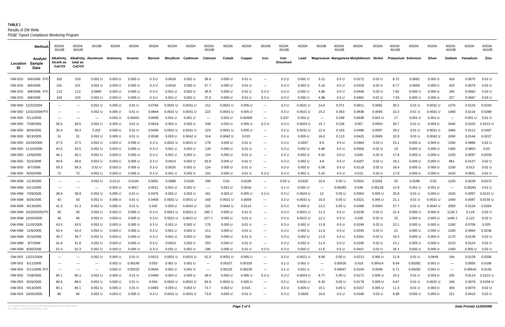**TABLE 1** *PG&E Topock Compliance Monitoring Program* Results of OW Wells

|                   | Method:                                  | 6020A<br>6010B                                | 6020A<br>6010B                | 6010B                    | 6020A                         | 6020A     | 6020A  | 6020A      | 6020A      | 6020A<br>6010B              | 6020A      | 6020A     | 6010B                                    | 6020A<br>6010B           | 6020A              | 6010B                    | 6020A<br>6010B | 6020A                                 | 6020A     | 6020A<br>6010B     | 6020A     | 6020A      | 6020A<br>6010B | 6020A    | 6020A<br>6010B      |
|-------------------|------------------------------------------|-----------------------------------------------|-------------------------------|--------------------------|-------------------------------|-----------|--------|------------|------------|-----------------------------|------------|-----------|------------------------------------------|--------------------------|--------------------|--------------------------|----------------|---------------------------------------|-----------|--------------------|-----------|------------|----------------|----------|---------------------|
| Location<br>ID    | Analyte:<br><b>Sample</b><br><b>Date</b> | Alkalinity,<br>bicarb as<br>CaCO <sub>3</sub> | total as<br>CaCO <sub>3</sub> |                          | Alkalinity, Aluminum Antimony | Arsenic   | Barium | Beryllium  | Cadmium    | Calcium                     | Cobalt     | Copper    | Iron                                     | Iron<br><b>Dissolved</b> | Lead               |                          |                | Magnesium Manganese Molybdenum Nickel |           | Potassium Selenium |           | Silver     | Sodium         | Vanadium | Zinc                |
| OW-02S            | 6/6/2006 (FD)                            | 103                                           | 103                           | $0.052$ U                | $0.003$ U                     | $0.005$ U | 0.3 U  | 0.0018     | $0.002$ U  | 56.6                        | $0.005$ U  | 0.01 U    | $\sim$ $\sim$ $\sim$                     | 0.3 U                    | 0.002L             | 5.21                     | 0.5U           | 0.0272                                | 0.02 U    | 8.72               | 0.0062    | 0.005 U    | 416            | 0.0075   | $0.02$ U            |
| OW-02S            | 6/6/2006                                 | 101                                           | 101                           | 0.052 U                  | $0.003$ U                     | $0.005$ U | 0.3 U  | 0.0016     | 0.002 U    | 57.7                        | 0.005 U    | 0.01 U    | $\sim$ $\sim$ $\sim$                     | 0.3 U                    | 0.002 U            | 5.16                     | 0.5 U          | 0.0319                                | 0.02 U    | 8.77               | 0.0058    | $0.005$ U  | 422            | 0.0079   | 0.02 U              |
| OW-02S            | 9/8/2006 (FD                             | 113                                           | 113                           | 0.0665                   | 0.003 U                       | 0.005 U   | 0.3 U  | 0.001 U    | $0.002$ U  | 35.9                        | 0.005 U    | 0.01 U    | 0.3 U                                    | 0.3 U                    | 0.002 U            | 4.86                     | 0.5 U          | 0.0448                                | 0.02 U    | 7.82               | 0.005 U   | 0.005 U    | 245            | 0.0062   | 0.02 U              |
| OW-02S 9/8/2006   |                                          | 103                                           | 103                           | $0.052$ U                | 0.003 U                       | 0.005 U   | 0.3 U  | 0.001 U    | $0.002$ U  | 37.6                        | 0.005 U    | 0.01 U    | 0.3 U                                    | 0.3 U                    | 0.002 U            | 4.98                     | 0.5 U          | 0.0462                                | 0.02 U    | 7.93               | 0.005 U   | 0.005 U    | 227            | 0.0067   | 0.02 U              |
| OW-05D 12/22/2004 |                                          | $\qquad \qquad -$                             | $---$                         | 0.052 U                  | 0.005 U                       | 0.01 U    | 0.0784 | 0.0031 U   | 0.0031 U   | 212                         | 0.0031 U   | 0.005 U   | $\sim$ $\sim$ $\sim$                     | 0.3 U                    | $0.0021$ U         | 14.6                     | 0.371          | 0.0811                                | 0.0081    | 30.2               | 0.01 U    | $0.0031$ U | 1370           | 0.0133   | 0.0243              |
|                   | OW-05D 12/22/2004 (FD)                   | $\cdots$                                      | $---$                         | 0.052 U                  | 0.005 U                       | 0.01 U    | 0.0844 | 0.0031 U   | $0.0031$ U | 222                         | 0.0031 U   | 0.005 U   | $\sim$ $\sim$ $\sim$                     | 0.3 U                    | $0.0021$ U         | 15.2                     | 0.363          | 0.0838                                | 0.0093    | 32.3               | 0.01 U    | $0.0031$ U | 1480           | 0.0116   | 0.0289              |
| OW-05D 5/11/2005  |                                          | $- - -$                                       | $---$                         | $\sim$ $\sim$            | $0.002$ U                     | 0.0044'   | 0.0658 | 0.001 U    | 0.001 U    | $\sim$ $\sim$               | 0.001 U    | 0.00409   | $\sim$ $\sim$ $\sim$                     | 0.237                    | 0.001 U            | $---$                    | 0.269          | 0.0638                                | $0.001$ U | 17                 | 0.001 U   | 0.001 U    | ----           | 0.001 U  | 0.01 U              |
| OW-05D 7/28/2005  |                                          | 36.5                                          | 36.5                          | 0.052 U                  | 0.005 U                       | 0.01 U    | 0.0616 | 0.003 U    | 0.003 U    | 248                         | 0.003 U    | 0.005 U   | 0.3 U                                    | 0.3 U                    | 0.0024 U           | 15.7                     | 0.226          | 0.057                                 | 0.0054    | 30.7               | 0.01 U    | 0.003 U    | 2040           | 0.0102   | 0.0122 U            |
| OW-05D 8/26/2005  |                                          | 35.4                                          | 35.4                          | 0.202                    | 0.005 U                       | 0.01 U    | 0.0458 | 0.0031 U   | $0.0031$ U | 223                         | 0.0031 U   | 0.005 U   | $\sim$ $\sim$ $\sim$                     | 0.3 U                    | 0.0031 U           | 12.4                     | 0.103          | 0.0488                                | 0.0097    | 29.2               | 0.01 U    | $0.0031$ U | 1960           | 0.0112   | 0.0367              |
| OW-05D 9/13/2005  |                                          | -31                                           | 31                            | 0.052 U                  | 0.005 U                       | 0.01 U    | 0.0538 | 0.003 U    | $0.0042$ U | 314                         | 0.0042 U   | 0.015     | $\sim$ $\sim$ $\sim$                     | 0.3 U                    | $0.005$ U          | 16.6                     | 0.113          | 0.0425                                | 0.0065    | 32.8               | 0.01 U    | $0.0042$ U | 2450           | 0.0144   | 0.0227              |
| OW-05D 10/19/2005 |                                          | 37.5                                          | 37.5                          | $0.052$ U                | $0.003$ U                     | 0.005L    | 0.3 U  | 0.0021 U   | 0.0021 U   | 178                         | 0.005 U    | 0.01 U    | $\sim$ $\sim$ $\sim$                     | 0.3 U                    | 0.0037             | 8.9                      | 0.5 U          | 0.0464                                | 0.02 U    | 23.1               | $0.005$ U | 0.005 U    | 1260           | 0.0966   | 0.02 U              |
| OW-05D 11/15/2005 |                                          | 43.5                                          | 43.5                          | 0.052 U                  | 0.003 U                       | 0.005 L   | 0.3 U  | 0.001      | $0.002$ U  | 139                         | 0.005 U    | 0.01 U    | $\sim$ $\sim$ $\sim$                     | 0.3 U                    | 0.002 <sub>0</sub> | 6.88                     | 0.5 U          | 0.0509                                | 0.02 U    | 19                 | 0.005 U   | 0.005 U    | 1300           | 0.0853   | 0.03                |
| OW-05D 12/6/2005  |                                          | 46.1                                          | 46.1                          | 0.052 U                  | 0.003U                        | $0.005$ U | 0.3 U  | 0.001 U    | $0.002$ U  | 124                         | 0.005 U    | 0.01 U    | $\sim$ $\sim$ $\sim$                     | 0.3 U                    | 0.002 L            | 6.53                     | 0.5 U          | 0.045                                 | 0.02 U    | 17.9               | 0.005 U   | $0.005$ U  | 1220           | 0.0097   | 0.0333              |
| OW-05D 3/15/2006  |                                          | 49.6                                          | 49.6                          | 0.052 U                  | 0.003 U                       | 0.005 U   | 0.3 U  | 0.0014     | 0.002 U    | 93.9                        | 0.005 U    | 0.01 U    | $\sim$ $\sim$ $\sim$                     | 0.3 U                    | 0.002L             | 4.8                      | 0.5 U          | 0.0207                                | 0.02 U    | 18.1               | 0.005 U   | 0.005 U    | 861            | 0.0137   | 0.02 U              |
| OW-05D 6/7/2006   |                                          | 59.3                                          | 59.3                          | 0.52U                    | 0.003 U                       | $0.005$ U | 0.3 U  | 0.0025     | 0.002 U    | 124                         | 0.005 U    | 0.01 U    | $\sim$ $\sim$                            | 0.3 U                    | 0.002 U            | 5.09                     | 0.5 U          | 0.0118                                | 0.02 U    | 18.4               | $0.005$ U | 0.005 U    | 1100           | 0.013    | 0.02 U              |
| OW-05D 8/30/2006  |                                          | 72                                            | 72                            | $0.052$ U                | 0.003 U                       | 0.005 U   | 0.3 U  | 0.001 U    | 0.002 U    | 102                         | 0.005 U    | 0.01 U    | 0.3 U                                    | 0.3 U                    | 0.002 U            | 5.42                     | 0.5 U          | 0.013                                 | 0.02 U    | 17.8               | 0.005 U   | 0.005 U    | 1020           | 0.0051   | 0.02 U              |
| OW-05M 1/13/2005  |                                          |                                               | $---$                         | 0.052 U                  | 0.0111                        | 0.0144    | 0.0601 | 0.0088     | 0.0105     | 290                         | 0.01       | 0.0106    | $\sim$ $\sim$                            | 0.05 U                   | 0.0102             | 10.4                     | 0.05 U         | 0.0501                                | 0.0201    | 26                 | 0.0186    | 0.02       | 1220           | 0.0229   | 0.0373              |
| OW-05M 5/11/2005  |                                          |                                               | $---$                         | $\overline{\phantom{a}}$ | 0.002 U                       | 0.0017    | 0.0511 | 0.001      | 0.001 U    | $\sim$ $\sim$               | 0.001 U    | 0.0016    | $\sim$ $\sim$                            | 0.1 U                    | $0.001$ U          |                          | 0.00283        | 0.039                                 | 0.00128   | 12.9               | 0.001 U   | 0.001 U    | $---$          | 0.00261  | 0.01 U              |
| OW-05M 7/28/2005  |                                          | 38.9                                          | 38.9                          | 0.052 U                  | 0.005 U                       | 0.01 U    | 0.0476 | 0.003 U    | 0.003 U    | 161                         | 0.003 U    | 0.005 U   | 0.3 U                                    | 0.3 U                    | $0.0024$ U         | 12                       | 0.05 U         | 0.0354                                | 0.005 U   | 25.8               | 0.01 U    | 0.003 U    | 1520           | 0.0097   | 0.0122 U            |
| OW-05M 8/26/2005  |                                          | 43                                            | 43                            | 0.052 U                  | $0.005$ U                     | 0.01 U    | 0.0458 | 0.0031 U   | 0.0031 U   | 168                         | 0.0031 U   | 0.0058    | $\sim$ $\sim$                            | 0.3 U                    | 0.0031 U           | 10.3                     | 0.05 U         | 0.0321                                | 0.005 U   | 21.1               | 0.01 U    | $0.0031$ U | 1440           | 0.0097   | $0.0156$ U          |
| OW-05M 9/13/2005  |                                          | 41.3                                          | 41.3                          | 0.052 U                  | 0.005 U                       | 0.01 U    | 0.042  | 0.003 U    | $0.0042$ U | 225                         | 0.0042 U   | 0.0114    | $\sim$ $\sim$ $\sim$                     | 0.3 U                    | $0.005$ L          | 13.2                     | 0.05 U         | 0.0286                                | 0.0054    | 27.7               | 0.01 U    | $0.0042$ L | 2050           | 0.0134   | 0.0264              |
|                   | OW-05M 10/20/2005 (FD                    | 40                                            | 40                            | 0.052 U                  | 0.003 U                       | 0.005 U   | 0.3 U  | 0.0021 U   | $0.0021$ U | ، 180                       | 0.005 U    | 0.01 U    | $\qquad \qquad - -$                      | 0.3 U                    | 0.0021 U           | 11.2                     | 0.5 U          | 0.0238                                | 0.02 U    | 22.4               | 0.005 U   | 0.005 U    | 1130           | 0.118    | 0.02 U              |
| OW-05M 10/20/2005 |                                          | 40                                            | 40                            | 0.052 U                  | 0.003 U                       | 0.005 L   | 0.3 U  | 0.0021 U   | $0.0021$ U | ، 227                       | 0.005 U    | 0.01 U    | $\qquad \qquad - -$                      | 0.3 U                    | 0.0021 U           | 12.1                     | 0.5 U          | 0.026                                 | 0.02 U    | 25                 | 0.005 U   | 0.005 U    | 1440           | 0.122    | 0.02 U              |
| OW-05M 11/15/2005 |                                          | 43.5                                          | 43.5                          | 0.052 U                  | $0.003$ U                     | $0.005$ U | 0.3 U  | 0.001 U    | $0.002$ U  | 176                         | 0.005 U    | 0.01 U    | $\qquad \qquad \cdots$                   | 0.3 U                    | $0.002$ U          | 11.8                     | 0.5 U          | 0.0249                                | 0.02 U    | 22.1               | $0.005$ U | $0.005$ U  | 1180           | 0.0706   | 0.025               |
| OW-05M 12/6/2005  |                                          | 43.4                                          | 43.4                          | 0.052 U                  | $0.003$ U                     | 0.005L    | 0.3 U  | 0.001<br>U | $0.002$ U  | 211                         | 0.005 U    | 0.01 U    | $\sim$ $\sim$ $\sim$                     | 0.3 U                    | $0.002$ L          | 11.6                     | 0.5 U          | 0.0245                                | $0.02$ U  | 21                 | 0.005 U   | 0.005 U    | 1330           | 0.0064   | 0.0238              |
| OW-05M 3/15/2006  |                                          | 39.7                                          | 39.7                          | 0.052 U                  | 0.003 U                       | 0.005 U   | 0.3 U  | 0.001 U    | $0.002$ U  | 200                         | 0.005 U    | 0.01 U    | $\sim$ $\sim$ $\sim$                     | 0.3 U                    | $0.002$ U          | 11.5                     | 0.5 U          | 0.0201                                | $0.02$ U  | 24.3               | 0.005 U   | 0.005 U    | 1170           | 0.0139   | 0.02 U              |
| OW-05M 6/7/2006   |                                          | 41.8                                          | 41.8                          | $0.052$ U                | 0.003 U                       | 0.005 U   | 0.3 U  | 0.0023     | 0.002 U    | 203                         | $0.005$ U  | 0.01 U    | $\sim$ $\sim$ $\sim$                     | 0.3 U                    | 0.002 U            | 11.4                     | 0.5 U          | 0.0195                                | $0.02$ U  | 23.1               | $0.005$ U | $0.005$ U  | 2210           | 0.0124   | 0.02 U              |
| OW-05M 8/30/2006  |                                          | 52.3                                          | 52.3                          | 0.052 U                  | $0.003$ U                     | 0.005 U   | 0.3 U  | 0.001 U    | $0.002$ U  | 186                         | 0.005 U    | 0.01 U    | 0.3 U                                    | 0.3 U                    | $0.002$ U          | 11.6                     | 0.5 U          | 0.0447                                | 0.02 U    | 26.1               | 0.005 U   | 0.005 U    | 1300           | 0.005 U  | 0.02 U              |
| OW-05S 12/21/2004 |                                          | $--$                                          | $\scriptstyle\cdots$          | $0.052$ U                | $0.005$ U                     | 0.01 U    | 0.0513 | 0.0031 U   | 0.0031 U   | 52.5                        | $0.0031$ U | $0.005$ U | $\sim$ $\sim$                            | 0.3 U                    | $0.0021$ U         | 8.06                     | 0.05 U         | 0.0213                                | 0.005 U   | 11.8               | 0.01 U    | 0.0649     | 194            | 0.0129   | 0.0256              |
| OW-05S 5/11/2005  |                                          | $\qquad \qquad -$                             | $---$                         | $\sim$ $\sim$            | 0.002 U                       | 0.00195   | 0.053  | 0.001 U    | 0.001 U    | $\sim$                      | 0.00107    | 0.00155   | $\sim$ $\sim$                            | 0.1 U                    | 0.001 U            | $\hspace{0.05cm} \ldots$ | 0.00535        | 0.019                                 | 0.00414   | 6.64               | 0.00282   | 0.001 U    | ---            | 0.0055   | 0.0166              |
|                   | OW-05S 5/11/2005 (FD)                    | $\qquad \qquad -$                             | $---$                         | $\sim$ $\sim$            | 0.002 U                       | 0.00222   | 0.0644 | 0.001 U    | 0.001 U    | $\rightarrow$ $\rightarrow$ | 0.00125    | 0.00226   | $\sim$ $\sim$                            | 0.1 U                    | 0.001 U            | $\scriptstyle\cdots$     | 0.00647        | 0.0194                                | 0.0049    | 6.71               | 0.00282   | 0.001 U    | $---$          | 0.00543  | 0.0145              |
| OW-05S 7/28/2005  |                                          | 85.1                                          | 85.1                          | $0.052$ U                | $0.005$ U                     | $0.01$ U  | 0.0489 | 0.003 U    | $0.003$ U  | 49.4                        | 0.003 U    | $0.005$ U | 0.3 U                                    | 0.3 U                    | $0.0024$ U         | 8.77                     | 0.05 U         | 0.0171                                | 0.005 U   | 10.2               | 0.01 U    | 0.003 U    | 235            |          | $0.0114$ $0.0122$ U |
| OW-05S 8/26/2005  |                                          | 88.6                                          | 88.6                          | $0.052$ U                | $0.005$ U                     | 0.01 U    | 0.054  | 0.0031 U   | $0.0031$ U | 56.9                        | $0.0031$ U | 0.005 U   | $\sim$ $\sim$                            | 0.3 U                    | 0.0031 U           | 9.33                     | 0.05 U         | 0.0178                                | 0.005 U   | 9.67               | 0.01 U    | $0.0031$ U | 240            | 0.0079   | 0.0156 U            |
| OW-05S 9/13/2005  |                                          | 80.1                                          | 80.1                          | 0.052 U                  | 0.005 U                       | 0.01 U    | 0.0483 | 0.003 U    | 0.003 U    | 73.7                        | 0.003 U    | 0.015     | $\sim$ $\sim$ $\sim$                     | 0.3 U                    | 0.005 U            | 10.1                     | 0.05 U         | 0.0157                                | 0.005 U   | 11.3               | 0.01 U    | 0.003 U    | 304            | 0.0079   | 0.02 U              |
| OW-05S 10/20/2005 |                                          | 80                                            | 80                            | 0.052 U                  | 0.003 U                       | 0.005 U   | 0.3 U  | $0.0021$ U | 0.0021 U   | 73.9                        | 0.005 U    | 0.01 U    | $\hspace{0.05cm} \ldots \hspace{0.05cm}$ | 0.3 U                    | 0.0028             | 10.6                     | 0.5 U          | 0.0168                                | 0.02 U    | 9.98               | 0.005 U   | 0.005 U    | 221            | 0.0415   | 0.02 U              |